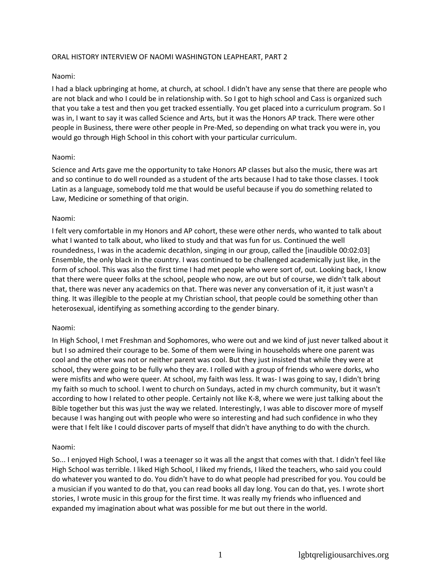## ORAL HISTORY INTERVIEW OF NAOMI WASHINGTON LEAPHEART, PART 2

## Naomi:

I had a black upbringing at home, at church, at school. I didn't have any sense that there are people who are not black and who I could be in relationship with. So I got to high school and Cass is organized such that you take a test and then you get tracked essentially. You get placed into a curriculum program. So I was in, I want to say it was called Science and Arts, but it was the Honors AP track. There were other people in Business, there were other people in Pre-Med, so depending on what track you were in, you would go through High School in this cohort with your particular curriculum.

## Naomi:

Science and Arts gave me the opportunity to take Honors AP classes but also the music, there was art and so continue to do well rounded as a student of the arts because I had to take those classes. I took Latin as a language, somebody told me that would be useful because if you do something related to Law, Medicine or something of that origin.

## Naomi:

I felt very comfortable in my Honors and AP cohort, these were other nerds, who wanted to talk about what I wanted to talk about, who liked to study and that was fun for us. Continued the well roundedness, I was in the academic decathlon, singing in our group, called the [inaudible 00:02:03] Ensemble, the only black in the country. I was continued to be challenged academically just like, in the form of school. This was also the first time I had met people who were sort of, out. Looking back, I know that there were queer folks at the school, people who now, are out but of course, we didn't talk about that, there was never any academics on that. There was never any conversation of it, it just wasn't a thing. It was illegible to the people at my Christian school, that people could be something other than heterosexual, identifying as something according to the gender binary.

### Naomi:

In High School, I met Freshman and Sophomores, who were out and we kind of just never talked about it but I so admired their courage to be. Some of them were living in households where one parent was cool and the other was not or neither parent was cool. But they just insisted that while they were at school, they were going to be fully who they are. I rolled with a group of friends who were dorks, who were misfits and who were queer. At school, my faith was less. It was- I was going to say, I didn't bring my faith so much to school. I went to church on Sundays, acted in my church community, but it wasn't according to how I related to other people. Certainly not like K-8, where we were just talking about the Bible together but this was just the way we related. Interestingly, I was able to discover more of myself because I was hanging out with people who were so interesting and had such confidence in who they were that I felt like I could discover parts of myself that didn't have anything to do with the church.

# Naomi:

So... I enjoyed High School, I was a teenager so it was all the angst that comes with that. I didn't feel like High School was terrible. I liked High School, I liked my friends, I liked the teachers, who said you could do whatever you wanted to do. You didn't have to do what people had prescribed for you. You could be a musician if you wanted to do that, you can read books all day long. You can do that, yes. I wrote short stories, I wrote music in this group for the first time. It was really my friends who influenced and expanded my imagination about what was possible for me but out there in the world.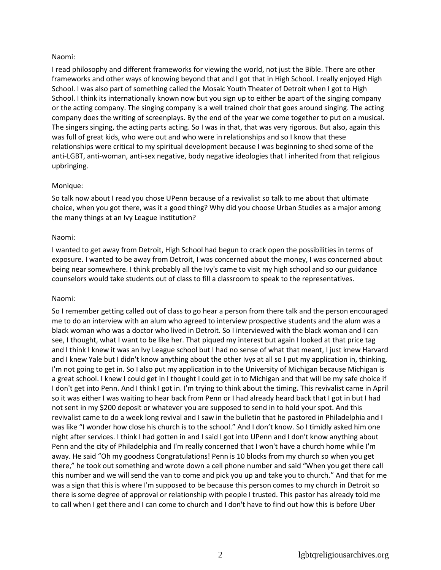# Naomi:

I read philosophy and different frameworks for viewing the world, not just the Bible. There are other frameworks and other ways of knowing beyond that and I got that in High School. I really enjoyed High School. I was also part of something called the Mosaic Youth Theater of Detroit when I got to High School. I think its internationally known now but you sign up to either be apart of the singing company or the acting company. The singing company is a well trained choir that goes around singing. The acting company does the writing of screenplays. By the end of the year we come together to put on a musical. The singers singing, the acting parts acting. So I was in that, that was very rigorous. But also, again this was full of great kids, who were out and who were in relationships and so I know that these relationships were critical to my spiritual development because I was beginning to shed some of the anti-LGBT, anti-woman, anti-sex negative, body negative ideologies that I inherited from that religious upbringing.

## Monique:

So talk now about I read you chose UPenn because of a revivalist so talk to me about that ultimate choice, when you got there, was it a good thing? Why did you choose Urban Studies as a major among the many things at an Ivy League institution?

### Naomi:

I wanted to get away from Detroit, High School had begun to crack open the possibilities in terms of exposure. I wanted to be away from Detroit, I was concerned about the money, I was concerned about being near somewhere. I think probably all the Ivy's came to visit my high school and so our guidance counselors would take students out of class to fill a classroom to speak to the representatives.

### Naomi:

So I remember getting called out of class to go hear a person from there talk and the person encouraged me to do an interview with an alum who agreed to interview prospective students and the alum was a black woman who was a doctor who lived in Detroit. So I interviewed with the black woman and I can see, I thought, what I want to be like her. That piqued my interest but again I looked at that price tag and I think I knew it was an Ivy League school but I had no sense of what that meant, I just knew Harvard and I knew Yale but I didn't know anything about the other Ivys at all so I put my application in, thinking, I'm not going to get in. So I also put my application in to the University of Michigan because Michigan is a great school. I knew I could get in I thought I could get in to Michigan and that will be my safe choice if I don't get into Penn. And I think I got in. I'm trying to think about the timing. This revivalist came in April so it was either I was waiting to hear back from Penn or I had already heard back that I got in but I had not sent in my \$200 deposit or whatever you are supposed to send in to hold your spot. And this revivalist came to do a week long revival and I saw in the bulletin that he pastored in Philadelphia and I was like "I wonder how close his church is to the school." And I don't know. So I timidly asked him one night after services. I think I had gotten in and I said I got into UPenn and I don't know anything about Penn and the city of Philadelphia and I'm really concerned that I won't have a church home while I'm away. He said "Oh my goodness Congratulations! Penn is 10 blocks from my church so when you get there," he took out something and wrote down a cell phone number and said "When you get there call this number and we will send the van to come and pick you up and take you to church." And that for me was a sign that this is where I'm supposed to be because this person comes to my church in Detroit so there is some degree of approval or relationship with people I trusted. This pastor has already told me to call when I get there and I can come to church and I don't have to find out how this is before Uber